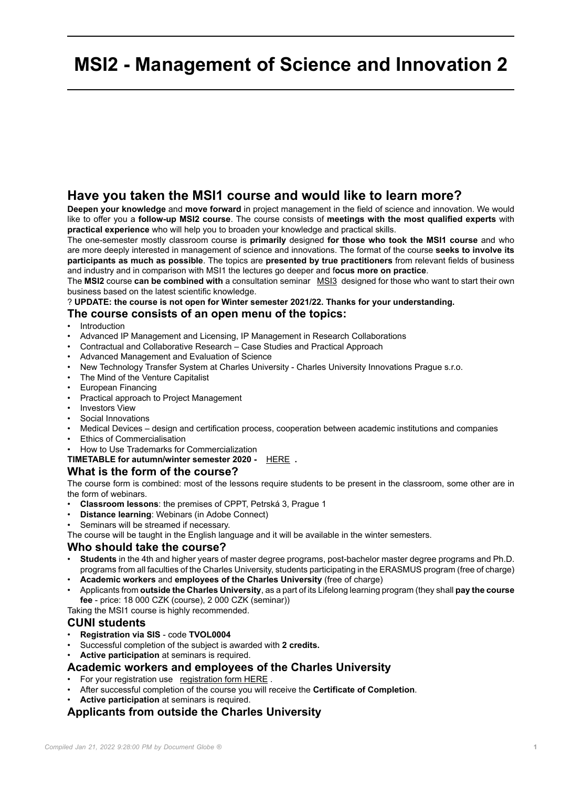## **MSI2 - Management of Science and Innovation 2**

#### **Have you taken the MSI1 course and would like to learn more?**

**Deepen your knowledge** and **move forward** in project management in the field of science and innovation. We would like to offer you a **follow-up MSI2 course**. The course consists of **meetings with the most qualified experts** with **practical experience** who will help you to broaden your knowledge and practical skills.

The one-semester mostly classroom course is **primarily** designed **for those who took the MSI1 course** and who are more deeply interested in management of science and innovations. The format of the course **seeks to involve its participants as much as possible**. The topics are **presented by true practitioners** from relevant fields of business and industry and in comparison with MSI1 the lectures go deeper and f**ocus more on practice**.

The **MSI2** course **can be combined with** a consultation seminar [MSI3](https://cppt.cuni.cz/CPPTNEN-85.html) designed for those who want to start their own business based on the latest scientific knowledge.

? **UPDATE: the course is not open for Winter semester 2021/22. Thanks for your understanding.**

#### **The course consists of an open menu of the topics:**

- **Introduction**
- Advanced IP Management and Licensing, IP Management in Research Collaborations
- Contractual and Collaborative Research Case Studies and Practical Approach
- Advanced Management and Evaluation of Science
- New Technology Transfer System at Charles University Charles University Innovations Prague s.r.o.
- The Mind of the Venture Capitalist
- European Financing
- Practical approach to Project Management
- Investors View
- Social Innovations
- Medical Devices design and certification process, cooperation between academic institutions and companies
- Ethics of Commercialisation
- How to Use Trademarks for Commercialization

#### **TIMETABLE for autumn/winter semester 2020 -** [HERE](CPPTNEN-84-version1-msi2_2020_21_winter__timetable.xlsx) **.**

#### **What is the form of the course?**

The course form is combined: most of the lessons require students to be present in the classroom, some other are in the form of webinars.

- **Classroom lessons**: the premises of CPPT, Petrská 3, Prague 1
- **Distance learning**: Webinars (in Adobe Connect)
- Seminars will be streamed if necessary.

The course will be taught in the English language and it will be available in the winter semesters.

#### **Who should take the course?**

- **Students** in the 4th and higher years of master degree programs, post-bachelor master degree programs and Ph.D. programs from all faculties of the Charles University, students participating in the ERASMUS program (free of charge)
- **Academic workers** and **employees of the Charles University** (free of charge)
- Applicants from **outside the Charles University**, as a part of its Lifelong learning program (they shall **pay the course fee** - price: 18 000 CZK (course), 2 000 CZK (seminar))

Taking the MSI1 course is highly recommended.

#### **CUNI students**

- **Registration via SIS** code **TVOL0004**
- Successful completion of the subject is awarded with **2 credits.**
- **Active participation** at seminars is required.

#### **Academic workers and employees of the Charles University**

- For your registration use [registration form HERE](https://forms.office.com/Pages/ResponsePage.aspx?id=2naS4DT5hkC_CIgWogQUopsLTq8V-9BLsXnWTM1EHlZUQUI1TE5BTks5N0hKT1lJVEs4SFhaRjVTTCQlQCN0PWcu) .
- After successful completion of the course you will receive the **Certificate of Completion**.
- **Active participation** at seminars is required.

#### **Applicants from outside the Charles University**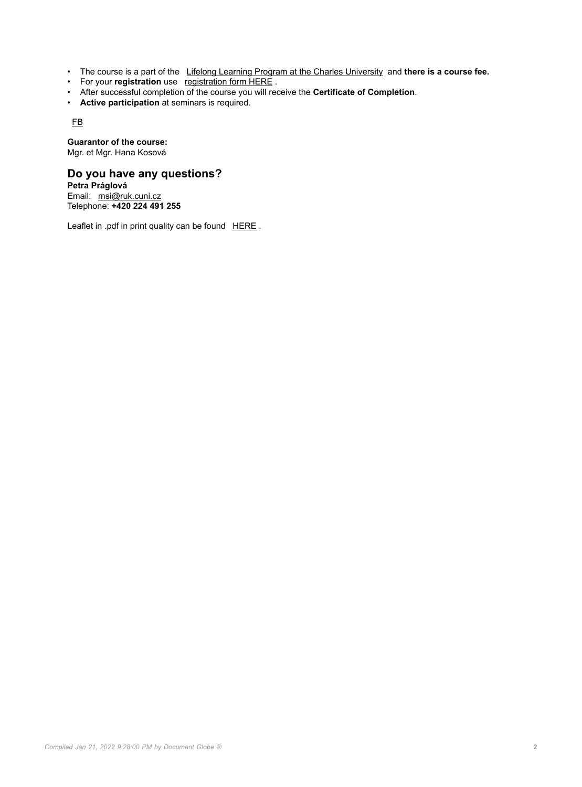- The course is a part of the [Lifelong Learning Program at the Charles University](https://cppt.cuni.cz/CPPTNEN-35.html) and **there is a course fee.**
- For your **registration** use [registration form HERE](https://forms.office.com/Pages/ResponsePage.aspx?id=2naS4DT5hkC_CIgWogQUopsLTq8V-9BLsXnWTM1EHlZUQUI1TE5BTks5N0hKT1lJVEs4SFhaRjVTTCQlQCN0PWcu) .
- After successful completion of the course you will receive the **Certificate of Completion**.
- **Active participation** at seminars is required.

[FB](https://www.facebook.com/groups/631035523675222/)

**Guarantor of the course:** Mgr. et Mgr. Hana Kosová

#### **Do you have any questions?**

**Petra Práglová** Email: [msi@ruk.cuni.cz](mailto:msi@ruk.cuni.cz) Telephone: **+420 224 491 255**

Leaflet in .pdf in print quality can be found [HERE](CPPTNEN-84-version1-msi_2_en.jpg).